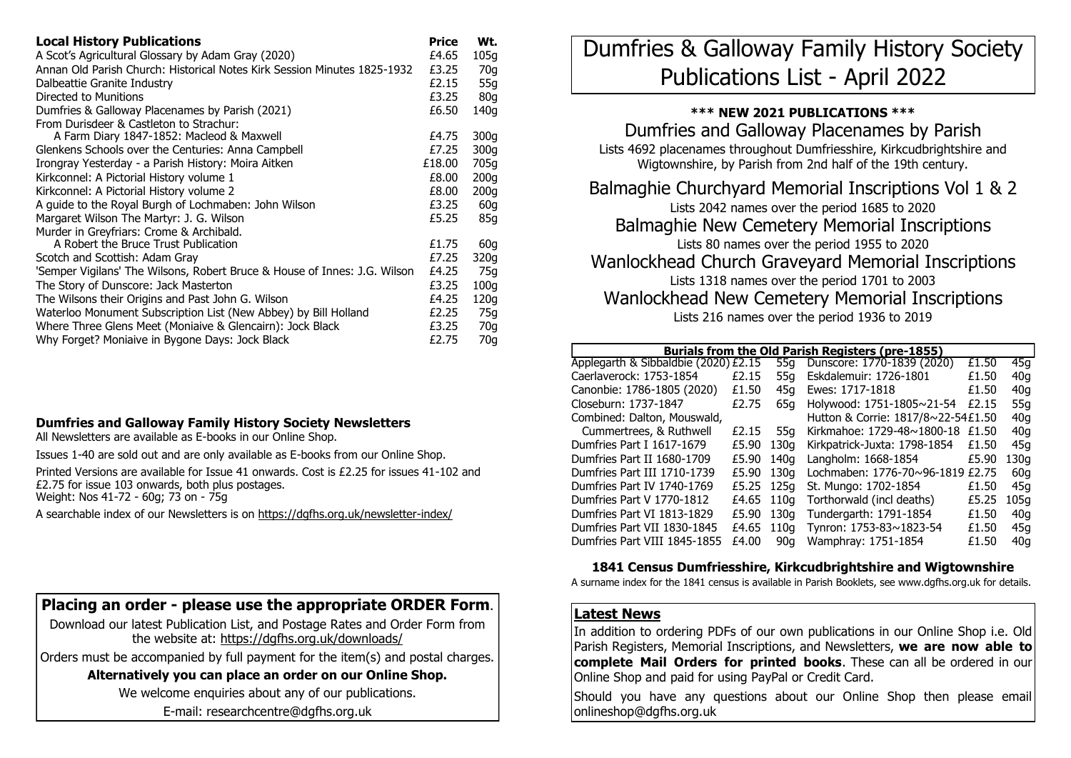| <b>Local History Publications</b>                                         | Price  | Wt.              |
|---------------------------------------------------------------------------|--------|------------------|
| A Scot's Agricultural Glossary by Adam Gray (2020)                        | £4.65  | 105q             |
| Annan Old Parish Church: Historical Notes Kirk Session Minutes 1825-1932  | £3.25  | 70q              |
| Dalbeattie Granite Industry                                               | £2.15  | 55g              |
| Directed to Munitions                                                     | £3.25  | 80 <sub>g</sub>  |
| Dumfries & Galloway Placenames by Parish (2021)                           | £6.50  | 140g             |
| From Durisdeer & Castleton to Strachur:                                   |        |                  |
| A Farm Diary 1847-1852: Macleod & Maxwell                                 | £4.75  | 300q             |
| Glenkens Schools over the Centuries: Anna Campbell                        | £7.25  | 300 <sub>g</sub> |
| Irongray Yesterday - a Parish History: Moira Aitken                       | £18.00 | 705g             |
| Kirkconnel: A Pictorial History volume 1                                  | £8.00  | 200q             |
| Kirkconnel: A Pictorial History volume 2                                  | £8.00  | 200q             |
| A quide to the Royal Burgh of Lochmaben: John Wilson                      | £3.25  | 60 <sub>g</sub>  |
| Margaret Wilson The Martyr: J. G. Wilson                                  | £5.25  | 85g              |
| Murder in Greyfriars: Crome & Archibald.                                  |        |                  |
| A Robert the Bruce Trust Publication                                      | £1.75  | 60 <sub>g</sub>  |
| Scotch and Scottish: Adam Gray                                            | £7.25  | 320g             |
| 'Semper Vigilans' The Wilsons, Robert Bruce & House of Innes: J.G. Wilson | £4.25  | 75g              |
| The Story of Dunscore: Jack Masterton                                     | £3.25  | 100 <sub>g</sub> |
| The Wilsons their Origins and Past John G. Wilson                         | £4.25  | 120q             |
| Waterloo Monument Subscription List (New Abbey) by Bill Holland           | £2.25  | 75q              |
| Where Three Glens Meet (Moniaive & Glencairn): Jock Black                 | £3.25  | 70g              |
| Why Forget? Moniaive in Bygone Days: Jock Black                           | £2.75  | 70a              |

### **Dumfries and Galloway Family History Society Newsletters**

All Newsletters are available as E-books in our Online Shop.

Issues 1-40 are sold out and are only available as E-books from our Online Shop.

Printed Versions are available for Issue 41 onwards. Cost is £2.25 for issues 41-102 and £2.75 for issue 103 onwards, both plus postages. Weight: Nos 41-72 - 60g; 73 on - 75g

A searchable index of our Newsletters is on [https://dgfhs.org.uk/newsletter](https://dgfhs.org.uk/newsletter-index/)-index/

# **Placing an order - please use the appropriate ORDER Form**.

Download our latest Publication List, and Postage Rates and Order Form from the website at:<https://dgfhs.org.uk/downloads/>

Orders must be accompanied by full payment for the item(s) and postal charges.

## **Alternatively you can place an order on our Online Shop.**

We welcome enquiries about any of our publications.

E-mail: researchcentre@dgfhs.org.uk

Dumfries & Galloway Family History Society Publications List - April 2022

### **\*\*\* NEW 2021 PUBLICATIONS \*\*\***

Dumfries and Galloway Placenames by Parish Lists 4692 placenames throughout Dumfriesshire, Kirkcudbrightshire and Wigtownshire, by Parish from 2nd half of the 19th century.

Balmaghie Churchyard Memorial Inscriptions Vol 1 & 2 Lists 2042 names over the period 1685 to 2020 Balmaghie New Cemetery Memorial Inscriptions Lists 80 names over the period 1955 to 2020 Wanlockhead Church Graveyard Memorial Inscriptions Lists 1318 names over the period 1701 to 2003 Wanlockhead New Cemetery Memorial Inscriptions Lists 216 names over the period 1936 to 2019

| <b>Burials from the Old Parish Registers (pre-1855)</b> |       |      |                                    |       |      |
|---------------------------------------------------------|-------|------|------------------------------------|-------|------|
| Applegarth & Sibbaldbie (2020) £2.15                    |       | 55a  | Dunscore: 1770-1839 (2020)         | £1.50 | 45g  |
| Caerlaverock: 1753-1854                                 | £2.15 | 55a  | Eskdalemuir: 1726-1801             | £1.50 | 40q  |
| Canonbie: 1786-1805 (2020)                              | £1.50 | 45g  | Ewes: 1717-1818                    | £1.50 | 40q  |
| Closeburn: 1737-1847                                    | £2.75 | 65a  | Holywood: 1751-1805~21-54          | £2.15 | 55q  |
| Combined: Dalton, Mouswald,                             |       |      | Hutton & Corrie: 1817/8~22-54£1.50 |       | 40q  |
| Cummertrees, & Ruthwell                                 | £2.15 | 55a  | Kirkmahoe: 1729-48~1800-18         | £1.50 | 40q  |
| Dumfries Part I 1617-1679                               | £5.90 | 130q | Kirkpatrick-Juxta: 1798-1854       | £1.50 | 45q  |
| Dumfries Part II 1680-1709                              | £5.90 | 140a | Langholm: 1668-1854                | £5.90 | 130g |
| Dumfries Part III 1710-1739                             | £5.90 | 130a | Lochmaben: 1776-70~96-1819 £2.75   |       | 60q  |
| Dumfries Part IV 1740-1769                              | £5.25 | 125g | St. Mungo: 1702-1854               | £1.50 | 45g  |
| Dumfries Part V 1770-1812                               | £4.65 | 110q | Torthorwald (incl deaths)          | £5.25 | 105q |
| Dumfries Part VI 1813-1829                              | £5.90 | 130a | Tundergarth: 1791-1854             | £1.50 | 40q  |
| Dumfries Part VII 1830-1845                             | £4.65 | 110a | Tynron: 1753-83~1823-54            | £1.50 | 45a  |
| Dumfries Part VIII 1845-1855                            | £4.00 | 90a  | Wamphray: 1751-1854                | £1.50 | 40q  |

### **1841 Census Dumfriesshire, Kirkcudbrightshire and Wigtownshire**

A surname index for the 1841 census is available in Parish Booklets, see www.dgfhs.org.uk for details.

### **Latest News**

In addition to ordering PDFs of our own publications in our Online Shop i.e. Old Parish Registers, Memorial Inscriptions, and Newsletters, **we are now able to complete Mail Orders for printed books**. These can all be ordered in our Online Shop and paid for using PayPal or Credit Card.

Should you have any questions about our Online Shop then please email onlineshop@dgfhs.org.uk